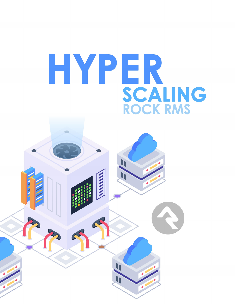

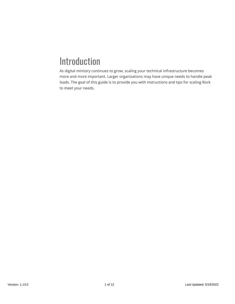# Introduction

As digital ministry continues to grow, scaling your technical infrastructure becomes more and more important. Larger organizations may have unique needs to handle peak loads. The goal of this guide is to provide you with instructions and tips for scaling Rock to meet your needs.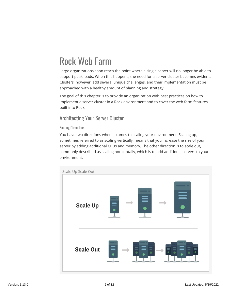# Rock Web Farm

Large organizations soon reach the point where a single server will no longer be able to support peak loads. When this happens, the need for a server cluster becomes evident. Clusters, however, add several unique challenges, and their implementation must be approached with a healthy amount of planning and strategy.

The goal of this chapter is to provide an organization with best practices on how to implement a server cluster in a Rock environment and to cover the web farm features built into Rock.

### Architecting Your Server Cluster

### Scaling Directions

You have two directions when it comes to scaling your environment. Scaling up, sometimes referred to as scaling vertically, means that you increase the size of your server by adding additional CPUs and memory. The other direction is to scale out, commonly described as scaling horizontally, which is to add additional servers to your environment.

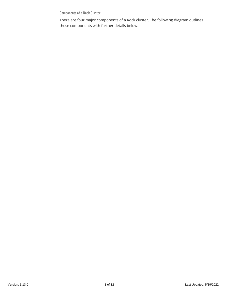Components of a Rock Cluster

There are four major components of a Rock cluster. The following diagram outlines these components with further details below.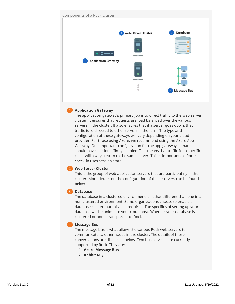

### 1 **Application Gateway**

The application gateway's primary job is to direct traffic to the web server cluster. It ensures that requests are load balanced over the various servers in the cluster. It also ensures that if a server goes down, that traffic is re-directed to other servers in the farm. The type and configuration of these gateways will vary depending on your cloud provider. For those using Azure, we recommend using the Azure App Gateway. One important configuration for the app gateway is that it should have session affinity enabled. This means that traffic for a specific client will always return to the same server. This is important, as Rock's check-in uses session state.

### 2 **Web Server Cluster**

This is the group of web application servers that are participating in the cluster. More details on the configuration of these servers can be found below.

### 3 **Database**

The database in a clustered environment isn't that different than one in a non-clustered environment. Some organizations choose to enable a database cluster, but this isn't required. The specifics of setting up your database will be unique to your cloud host. Whether your database is clustered or not is transparent to Rock.

### 4 **Message Bus**

The message bus is what allows the various Rock web servers to communicate to other nodes in the cluster. The details of these conversations are discussed below. Two bus services are currently supported by Rock. They are:

- 1. **Azure Message Bus**
- 2. **Rabbit MQ**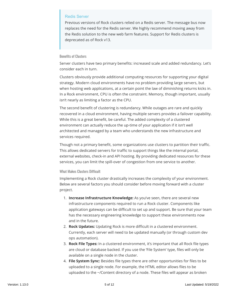### Redis Server

Previous versions of Rock clusters relied on a Redis server. The message bus now replaces the need for the Redis server. We highly recommend moving away from the Redis solution to the new web farm features. Support for Redis clusters is deprecated as of Rock v13.

#### Benefits of Clusters

Server clusters have two primary benefits: increased scale and added redundancy. Let's consider each in turn.

Clusters obviously provide additional computing resources for supporting your digital strategy. Modern cloud environments have no problem providing large servers, but when hosting web applications, at a certain point the law of diminishing returns kicks in. In a Rock environment, CPU is often the constraint. Memory, though important, usually isn't nearly as limiting a factor as the CPU.

The second benefit of clustering is redundancy. While outages are rare and quickly recovered in a cloud environment, having multiple servers provides a failover capability. While this is a great benefit, be careful. The added complexity of a clustered environment can actually reduce the up-time of your application if it isn't well architected and managed by a team who understands the new infrastructure and services required.

Though not a primary benefit, some organizations use clusters to partition their traffic. This allows dedicated servers for traffic to support things like the internal portal, external websites, check-in and API hosting. By providing dedicated resources for these services, you can limit the spill-over of congestion from one service to another.

### What Makes Clusters Difficult

Implementing a Rock cluster drastically increases the complexity of your environment. Below are several factors you should consider before moving forward with a cluster project.

- 1. **Increase Infrastructure Knowledge:** As you've seen, there are several new infrastructure components required to run a Rock cluster. Components like application gateways can be difficult to set up and support. Be sure that your team has the necessary engineering knowledge to support these environments now and in the future.
- 2. **Rock Updates:** Updating Rock is more difficult in a clustered environment. Currently, each server will need to be updated manually (or through custom dev ops automation).
- 3. **Rock File Types:** In a clustered environment, it's important that all Rock file types are cloud or database backed. If you use the 'File System' type, files will only be available on a single node in the cluster.
- 4. **File System Sync:** Besides file types there are other opportunities for files to be uploaded to a single node. For example, the HTML editor allows files to be uploaded to the ~/Content directory of a node. These files will appear as broken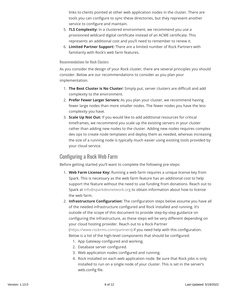links to clients pointed at other web application nodes in the cluster. There are tools you can configure to sync these directories, but they represent another service to configure and maintain.

- 5. **TLS Complexity:** In a clustered environment, we recommend you use a provisioned wildcard digital certificate instead of an ACME certificate. This represents an additional cost and you'll need to remember to renew it.
- 6. **Limited Partner Support:** There are a limited number of Rock Partners with familiarity with Rock's web farm features.

### Recommendations for Rock Clusters

As you consider the design of your Rock cluster, there are several principles you should consider. Below are our recommendations to consider as you plan your implementation.

- 1. **The Best Cluster is No Cluster:** Simply put, server clusters are difficult and add complexity to the environment.
- 2. **Prefer Fewer Larger Servers:** As you plan your cluster, we recommend having fewer large nodes than more smaller nodes. The fewer nodes you have the less complexity you have.
- 3. **Scale Up Not Out:** If you would like to add additional resources for critical timeframes, we recommend you scale up the existing servers in your cluster rather than adding new nodes to the cluster. Adding new nodes requires complex dev ops to create node templates and deploy them as needed, whereas increasing the size of a running node is typically much easier using existing tools provided by your cloud service.

### Configuring a Rock Web Farm

Before getting started you'll want to complete the following pre-steps:

- 1. **Web Farm License Key:** Running a web farm requires a unique license key from Spark. This is necessary as the web farm feature has an additional cost to help support the feature without the need to use funding from donations. Reach out to Spark at [info@sparkdevnetwork.org](mailto:info@sparkdevnetwork.org) to obtain information about how to license the web farm.
- 2. **Infrastructure Configuration:** The configuration steps below assume you have all of the needed infrastructure configured and Rock installed and running. It's outside of the scope of this document to provide step-by-step guidance on configuring the infrastructure, as these steps will be very different depending on your cloud hosting provider. Reach out to a Rock Partner [\(https://www.rockrms.com/partners](https://www.rockrms.com/partners)) if you need help with this configuration. Below is a list of the high-level components that should be configured:
	- 1. App Gateway configured and working.
	- 2. Database server configured.
	- 3. Web application nodes configured and running.
	- 4. Rock installed on each web application node. Be sure that Rock jobs is only installed to run on a single node of your cluster. This is set in the server's web.config file.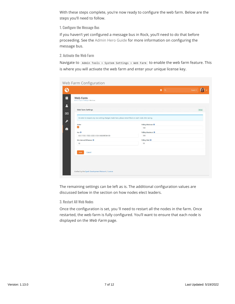With these steps complete, you're now ready to configure the web farm. Below are the steps you'll need to follow.

1. Configure the Message Bus

If you haven't yet configured a message bus in Rock, you'll need to do that before proceeding. See the [Admin Hero Guide](https://community.rockrms.com/documentation/bookcontent/9#messagebus) for more information on configuring the message bus.

2. Activate the Web Farm

Navigate to Admin Tools > System Settings > Web Farm to enable the web farm feature. This is where you will activate the web farm and enter your unique license key.

| Web Farm Configuration                                                                                     |                                     |          |
|------------------------------------------------------------------------------------------------------------|-------------------------------------|----------|
| G                                                                                                          | $\alpha$<br>п                       | Search - |
| 目<br>Web Farm<br>Home > System Settings > Web Farm                                                         |                                     |          |
| 2<br>Web Farm Settings<br>$\Box$                                                                           |                                     | Active   |
| In order to respect any new setting changes made here, please restart Rock on each node after saving.<br>P |                                     |          |
| Active<br>o.<br>e                                                                                          | Polling Minimum <sup>O</sup><br>180 |          |
| Key O                                                                                                      | Polling Maximum <sup>O</sup>        |          |
| -36820BE381C8                                                                                              | 300                                 |          |
| Min Interval Difference O                                                                                  | Polling Wait <sup>®</sup>           |          |
| 10                                                                                                         | 10                                  |          |
| Save<br>Cancel                                                                                             |                                     |          |
| Crafted by the Spark Development Network / License                                                         |                                     |          |

The remaining settings can be left as is. The additional configuration values are discussed below in the section on how nodes elect leaders.

3. Restart All Web Nodes

Once the configuration is set, you 'll need to restart all the nodes in the farm. Once restarted, the web farm is fully configured. You'll want to ensure that each node is displayed on the Web Farm page.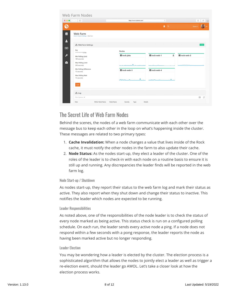| Web Farm Nodes                                                                   |                          |                              |                                                                                           |
|----------------------------------------------------------------------------------|--------------------------|------------------------------|-------------------------------------------------------------------------------------------|
| $\bullet \bullet \bullet \langle\cdot\cdot\rangle \quad \hbox{f\hspace{-.6mm}I}$ | https://www.rockrms.com/ | $\mathop{\mathcal{C}}$       | $\begin{array}{c c c c c} \hline \mathbb{A} & \mathbb{B} & \mathbb{B} \end{array}$<br>$+$ |
| €                                                                                |                          | п<br>$\alpha$                | Name $\star$                                                                              |
| Ξ<br>Web Farm<br>Home > System Settings > Web Farm                               |                          |                              |                                                                                           |
| $\blacksquare$<br>움 Web Farm Settings                                            |                          |                              | Active                                                                                    |
| $\bullet$<br>Key<br>*************078A                                            | Nodes                    |                              |                                                                                           |
| $\boldsymbol{\mu}$<br>Min Polling Limit<br>180 seconds                           | <b>Brock-jobs</b>        | ■ rock-web-1<br>$\mathbf{a}$ | ■ rock-web-2                                                                              |
| å<br>Max Polling Limit<br>300 seconds                                            | mannano                  |                              |                                                                                           |
| Min Polling Difference<br>15 seconds                                             | ■ rock-web-3             | ■ rock-web-4                 |                                                                                           |
| Max Polling Wait<br>15 seconds                                                   |                          |                              |                                                                                           |
| Edit                                                                             |                          |                              |                                                                                           |
| $\frac{g}{\alpha \alpha}$ Log                                                    |                          |                              |                                                                                           |
|                                                                                  |                          |                              |                                                                                           |

## The Secret Life of Web Farm Nodes

Behind the scenes, the nodes of a web farm communicate with each other over the message bus to keep each other in the loop on what's happening inside the cluster. These messages are related to two primary types:

- 1. **Cache Invalidation:** When a node changes a value that lives inside of the Rock cache, it must notify the other nodes in the farm to also update their cache.
- 2. **Node Status:** As the nodes start-up, they elect a leader of the cluster. One of the roles of the leader is to check-in with each node on a routine basis to ensure it is still up and running. Any discrepancies the leader finds will be reported in the web farm log.

### Node Start-up / Shutdown

As nodes start-up, they report their status to the web farm log and mark their status as active. They also report when they shut down and change their status to inactive. This notifies the leader which nodes are expected to be running.

### Leader Responsibilities

As noted above, one of the responsibilities of the node leader is to check the status of every node marked as being active. This status check is run on a configured polling schedule. On each run, the leader sends every active node a ping. If a node does not respond within a few seconds with a pong response, the leader reports the node as having been marked active but no longer responding.

### Leader Election

You may be wondering how a leader is elected by the cluster. The election process is a sophisticated algorithm that allows the nodes to jointly elect a leader as well as trigger a re-election event, should the leader go AWOL. Let's take a closer look at how the election process works.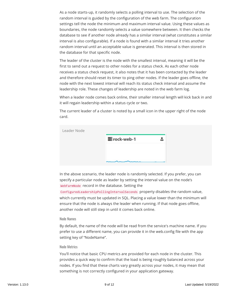As a node starts-up, it randomly selects a polling interval to use. The selection of the random interval is guided by the configuration of the web farm. The configuration settings tell the node the minimum and maximum interval value. Using these values as boundaries, the node randomly selects a value somewhere between. It then checks the database to see if another node already has a similar interval (what constitutes a similar interval is also configurable). If a node is found with a similar interval it tries another random interval until an acceptable value is generated. This interval is then stored in the database for that specific node.

The leader of the cluster is the node with the smallest interval, meaning it will be the first to send out a request to other nodes for a status check. As each other node receives a status check request, it also notes that it has been contacted by the leader and therefore should reset its timer to ping other nodes. If the leader goes offline, the node with the next lowest interval will reach its status check interval and assume the leadership role. These changes of leadership are noted in the web farm log.

When a leader node comes back online, their smaller interval length will kick back in and it will regain leadership within a status cycle or two.

The current leader of a cluster is noted by a small icon in the upper right of the node card.

| Leader Node |              |     |  |
|-------------|--------------|-----|--|
|             | ■ rock-web-1 | ala |  |
|             |              |     |  |
|             |              |     |  |
|             |              |     |  |

In the above scenario, the leader node is randomly selected. If you prefer, you can specify a particular node as leader by setting the interval value on the node's WebFarmNode record in the database. Setting the

ConfiguredLeadershipPollingIntervalSeconds property disables the random value, which currently must be updated in SQL. Placing a value lower than the minimum will ensure that the node is always the leader when running. If that node goes offline, another node will still step in until it comes back online.

### Node Names

By default, the name of the node will be read from the service's machine name. If you prefer to use a different name, you can provide it in the web.config file with the app setting key of "NodeName".

### Node Metrics

You'll notice that basic CPU metrics are provided for each node in the cluster. This provides a quick way to confirm that the load is being roughly balanced across your nodes. If you find that these charts vary greatly across your nodes, it may mean that something is not correctly configured in your application gateway.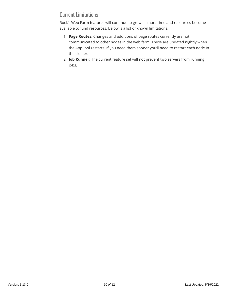## Current Limitations

Rock's Web Farm features will continue to grow as more time and resources become available to fund resources. Below is a list of known limitations.

- 1. **Page Routes:** Changes and additions of page routes currently are not communicated to other nodes in the web farm. These are updated nightly when the AppPool restarts. If you need them sooner you'll need to restart each node in the cluster.
- 2. **Job Runner:** The current feature set will not prevent two servers from running jobs.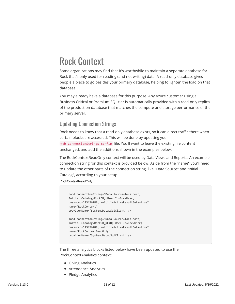# Rock Context

Some organizations may find that it's worthwhile to maintain a separate database for Rock that's only used for reading (and not writing) data. A read-only database gives people a place to go besides your primary database, helping to lighten the load on that database.

You may already have a database for this purpose. Any Azure customer using a Business Critical or Premium SQL tier is automatically provided with a read-only replica of the production database that matches the compute and storage performance of the primary server.

### Updating Connection Strings

Rock needs to know that a read-only database exists, so it can direct traffic there when certain blocks are accessed. This will be done by updating your web.ConnectionStrings.config file. You'll want to leave the existing file content unchanged, and add the additions shown in the examples below.

The RockContextReadOnly context will be used by Data Views and Reports. An example connection string for this context is provided below. Aside from the "name" you'll need to update the other parts of the connection string, like "Data Source" and "Initial Catalog", according to your setup.

RockContextReadOnly

```
 <add connectionString="Data Source=localhost;
Initial Catalog=RockDB; User Id=RockUser; 
password=123456789; MultipleActiveResultSets=true" 
name="RockContext" 
providerName="System.Data.SqlClient" />
<add connectionString="Data Source=localhost;
Initial Catalog=RockDB_READ; User Id=RockUser; 
password=123456789; MultipleActiveResultSets=true" 
name="RockContextReadOnly" 
providerName="System.Data.SqlClient" />
```
The three analytics blocks listed below have been updated to use the RockContextAnalytics context:

- Giving Analytics
- Attendance Analytics
- Pledge Analytics